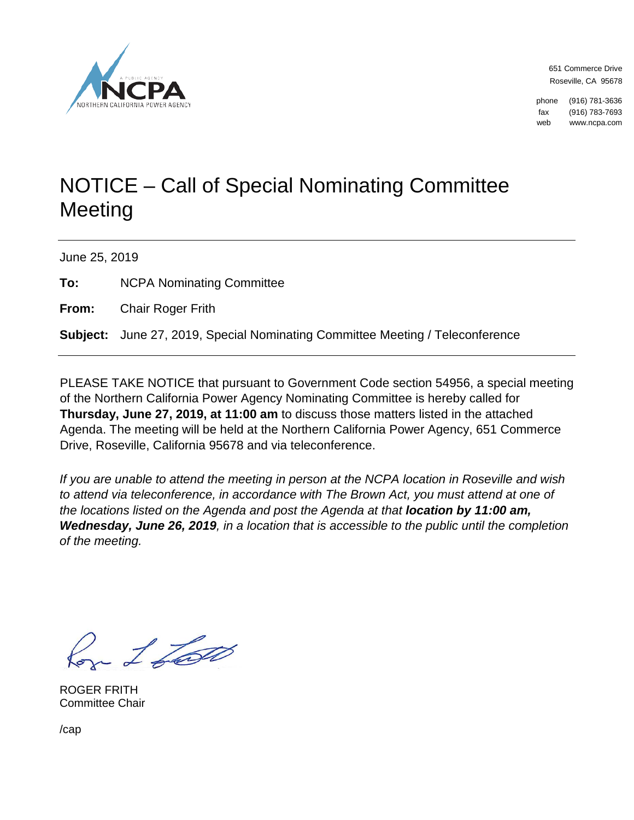

651 Commerce Drive Roseville, CA 95678

phone (916) 781-3636 fax (916) 783-7693 web www.ncpa.com

# NOTICE – Call of Special Nominating Committee **Meeting**

June 25, 2019

**To:** NCPA Nominating Committee

**From:** Chair Roger Frith

**Subject:** June 27, 2019, Special Nominating Committee Meeting / Teleconference

PLEASE TAKE NOTICE that pursuant to Government Code section 54956, a special meeting of the Northern California Power Agency Nominating Committee is hereby called for **Thursday, June 27, 2019, at 11:00 am** to discuss those matters listed in the attached Agenda. The meeting will be held at the Northern California Power Agency, 651 Commerce Drive, Roseville, California 95678 and via teleconference.

*If you are unable to attend the meeting in person at the NCPA location in Roseville and wish to attend via teleconference, in accordance with The Brown Act, you must attend at one of the locations listed on the Agenda and post the Agenda at that <i>location by 11:00 am*, *Wednesday, June 26, 2019, in a location that is accessible to the public until the completion of the meeting.*

Con 1 Lost

ROGER FRITH Committee Chair

/cap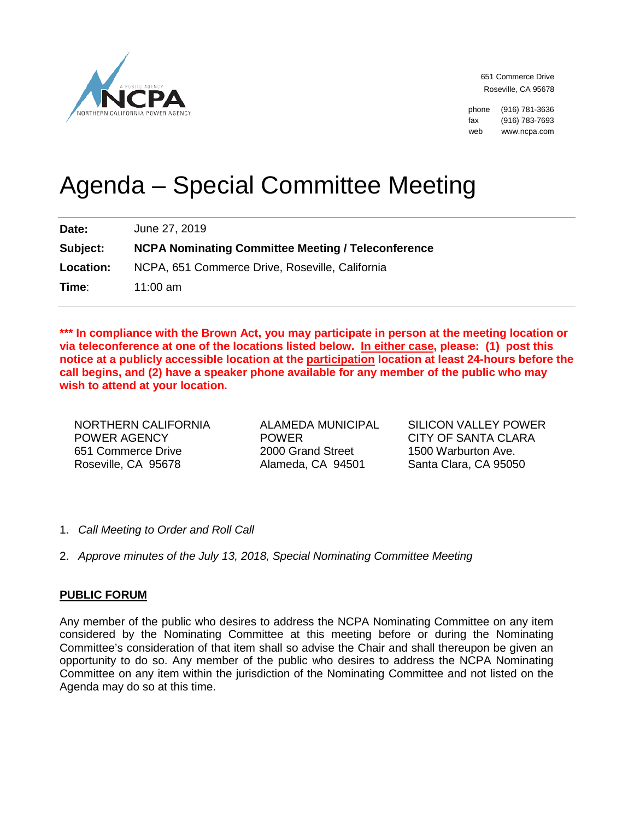

651 Commerce Drive Roseville, CA 95678

phone (916) 781-3636 fax (916) 783-7693 web www.ncpa.com

# Agenda – Special Committee Meeting

**Date:** June 27, 2019 **Subject: NCPA Nominating Committee Meeting / Teleconference Location:** NCPA, 651 Commerce Drive, Roseville, California **Time**: 11:00 am

**\*\*\* In compliance with the Brown Act, you may participate in person at the meeting location or via teleconference at one of the locations listed below. In either case, please: (1) post this notice at a publicly accessible location at the participation location at least 24-hours before the call begins, and (2) have a speaker phone available for any member of the public who may wish to attend at your location.** 

NORTHERN CALIFORNIA POWER AGENCY 651 Commerce Drive Roseville, CA 95678

ALAMEDA MUNICIPAL POWER 2000 Grand Street Alameda, CA 94501

SILICON VALLEY POWER CITY OF SANTA CLARA 1500 Warburton Ave. Santa Clara, CA 95050

- 1. *Call Meeting to Order and Roll Call*
- 2. *Approve minutes of the July 13, 2018, Special Nominating Committee Meeting*

## **PUBLIC FORUM**

Any member of the public who desires to address the NCPA Nominating Committee on any item considered by the Nominating Committee at this meeting before or during the Nominating Committee's consideration of that item shall so advise the Chair and shall thereupon be given an opportunity to do so. Any member of the public who desires to address the NCPA Nominating Committee on any item within the jurisdiction of the Nominating Committee and not listed on the Agenda may do so at this time.